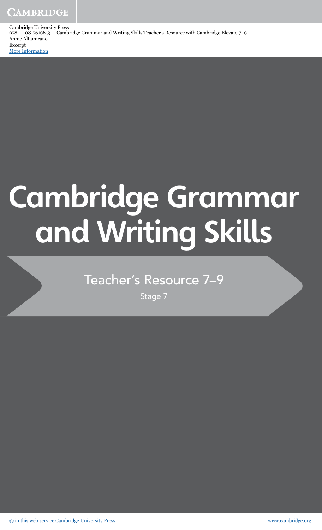**CAMBRIDGE** 

Cambridge University Press 978-1-108-76196-3 — Cambridge Grammar and Writing Skills Teacher's Resource with Cambridge Elevate 7–9 Annie Altamirano Excerpt

[More Information](www.cambridge.org/9781108761963)

# **Cambridge Grammar and Writing Skills**

# Teacher's Resource 7–9

Stage 7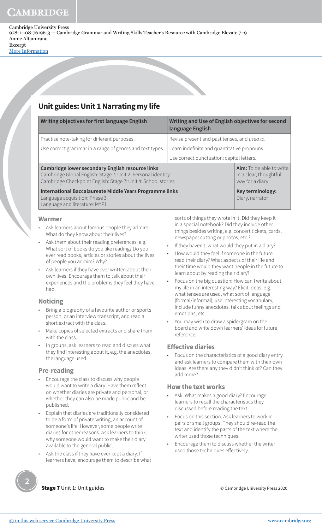[More Information](www.cambridge.org/9781108761963)

# **Unit guides: Unit 1 Narrating my life**

| Writing objectives for first language English                                                                                                                                     | Writing and Use of English objectives for second<br>language English |                                                                       |  |  |
|-----------------------------------------------------------------------------------------------------------------------------------------------------------------------------------|----------------------------------------------------------------------|-----------------------------------------------------------------------|--|--|
| Practise note-taking for different purposes.                                                                                                                                      | Revise present and past tenses, and used to.                         |                                                                       |  |  |
| Use correct grammar in a range of genres and text types.                                                                                                                          | Learn indefinite and quantitative pronouns.                          |                                                                       |  |  |
|                                                                                                                                                                                   | Use correct punctuation: capital letters.                            |                                                                       |  |  |
| Cambridge lower secondary English resource links<br>Cambridge Global English: Stage 7: Unit 2: Personal identity<br>Cambridge Checkpoint English: Stage 7: Unit 4: School stories |                                                                      | Aim: To be able to write<br>in a clear, thoughtful<br>way for a diary |  |  |
| International Baccalaureate Middle Years Programme links<br>Language acquisition: Phase 3<br>Language and literature: MYP1                                                        |                                                                      | Key terminology:<br>Diary, narrator                                   |  |  |

 $\overline{\phantom{0}}$ 

## **Warmer**

- Ask learners about famous people they admire. What do they know about their lives?
- Ask them about their reading preferences, e.g. What sort of books do you like reading? Do you ever read books, articles or stories about the lives of people you admire? Why?
- Ask learners if they have ever written about their own lives. Encourage them to talk about their experiences and the problems they feel they have had.

## **Noticing**

- Bring a biography of a favourite author or sports person, or an interview transcript, and read a short extract with the class.
- Make copies of selected extracts and share them with the class.
- In groups, ask learners to read and discuss what they find interesting about it, e.g. the anecdotes, the language used.

## **Pre-reading**

- Encourage the class to discuss why people would want to write a diary. Have them reflect on whether diaries are private and personal, or whether they can also be made public and be published.
- Explain that diaries are traditionally considered to be a form of private writing, an account of someone's life. However, some people write diaries for other reasons. Ask learners to think why someone would want to make their diary available to the general public.
- Ask the class if they have ever kept a diary. If learners have, encourage them to describe what

sorts of things they wrote in it. Did they keep it in a special notebook? Did they include other things besides writing, e.g. concert tickets, cards, newspaper cutting or photos, etc.?

- If they haven't, what would they put in a diary?
- How would they feel if someone in the future read their diary? What aspects of their life and their time would they want people in the future to learn about by reading their diary?
- Focus on the big question: How can I write about my life in an interesting way? Elicit ideas, e.g. what tenses are used, what sort of language (formal/informal); use interesting vocabulary, include funny anecdotes, talk about feelings and emotions, etc.
- You may wish to draw a spidergram on the board and write down learners' ideas for future reference.

## **Effective diaries**

• Focus on the characteristics of a good diary entry and ask learners to compare them with their own ideas. Are there any they didn't think of? Can they add more?

## **How the text works**

- Ask: What makes a good diary? Encourage learners to recall the characteristics they discussed before reading the text.
- Focus on this section. Ask learners to work in pairs or small groups. They should re-read the text and identify the parts of the text where the writer used those techniques.
- Encourage them to discuss whether the writer used those techniques effectively.

**2**

**Stage 7** Unit 1: Unit guides **Cambridge University Press** 2020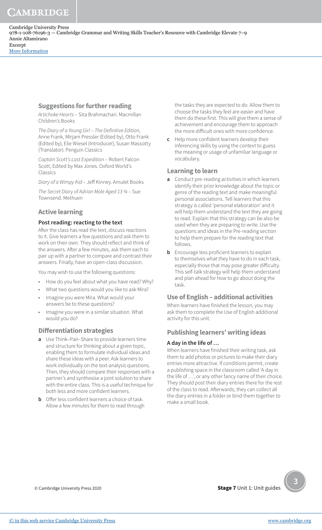CAMBRIDGE

[More Information](www.cambridge.org/9781108761963)

# **Suggestions for further reading**

Artichoke Hearts – Sita Brahmachari. Macmillan Children's Books

The Diary of a Young Girl – The Definitive Edition, Anne Frank, Mirjam Pressler (Edited by), Otto Frank (Edited by), Elie Wiesel (Introducer), Susan Massotty (Translator). Penguin Classics

Captain Scott's Last Expedition – Robert Falcon Scott, Edited by Max Jones. Oxford World's Classics

Diary of a Wimpy Kid – Jeff Kinney. Amulet Books

The Secret Diary of Adrian Mole Aged 13 ¾ – Sue Townsend. Methuen

# **Active learning**

## **Post reading: reacting to the text**

After the class has read the text, discuss reactions to it. Give learners a few questions and ask them to work on their own. They should reflect and think of the answers. After a few minutes, ask them each to pair up with a partner to compare and contrast their answers. Finally, have an open-class discussion.

You may wish to use the following questions:

- How do you feel about what you have read? Why?
- What two questions would you like to ask Mira?
- Imagine you were Mira. What would your answers be to these questions?
- Imagine you were in a similar situation. What would you do?

# **Differentiation strategies**

- **a** Use Think–Pair–Share to provide learners time and structure for thinking about a given topic, enabling them to formulate individual ideas and share these ideas with a peer. Ask learners to work individually on the text-analysis questions. Then, they should compare their responses with a partner's and synthesise a joint solution to share with the entire class. This is a useful technique for both less and more confident learners.
- **b** Offer less confident learners a choice of task. Allow a few minutes for them to read through

the tasks they are expected to do. Allow them to choose the tasks they feel are easier and have them do these first. This will give them a sense of achievement and encourage them to approach the more difficult ones with more confidence.

**c** Help more confident learners develop their inferencing skills by using the context to guess the meaning or usage of unfamiliar language or vocabulary.

# **Learning to learn**

- **a** Conduct pre-reading activities in which learners identify their prior knowledge about the topic or genre of the reading text and make meaningful personal associations. Tell learners that this strategy is called 'personal elaboration' and it will help them understand the text they are going to read. Explain that this strategy can be also be used when they are preparing to write. Use the questions and ideas in the Pre-reading section to help them prepare for the reading text that follows.
- **b** Encourage less proficient learners to explain to themselves what they have to do in each task, especially those that may pose greater difficulty. This self-talk strategy will help them understand and plan ahead for how to go about doing the task.

# **Use of English – additional activities**

When learners have finished the lesson, you may ask them to complete the Use of English additional activity for this unit.

# **Publishing learners' writing ideas**

## **A day in the life of …**

When learners have finished their writing task, ask them to add photos or pictures to make their diary entries more attractive. If conditions permit, create a publishing space in the classroom called 'A day in the life of …', or any other fancy name of their choice. They should post their diary entries there for the rest of the class to read. Afterwards, they can collect all the diary entries in a folder or bind them together to make a small book.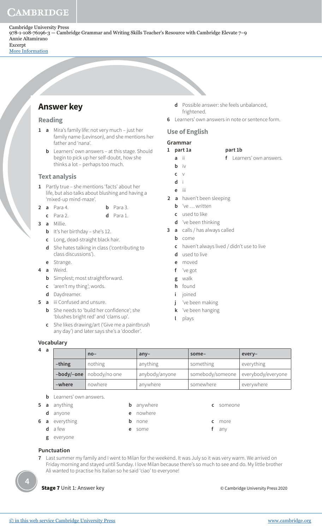[More Information](www.cambridge.org/9781108761963)

# **Answer key**

## **Reading**

- **1 a** Mira's family life: not very much just her family name (Levinson), and she mentions her father and 'nana'.
	- **b** Learners' own answers at this stage. Should begin to pick up her self-doubt, how she thinks a lot – perhaps too much.

## **Text analysis**

- **1** Partly true she mentions 'facts' about her life, but also talks about blushing and having a 'mixed-up mind-maze'.
- **2 a** Para 4. **b** Para 3.
	- **c** Para 2. **d** Para 1.
- **3 a** Millie.
	- **b** It's her birthday she's 12.
	- **c** Long, dead-straight black hair.
	- **d** She hates talking in class ('contributing to class discussions').
	- **e** Strange.
- **4 a** Weird.
	- **b** Simplest; most straightforward.
	- **c** 'aren't my thing'; words.
	- **d** Daydreamer.
- **5 a** iii Confused and unsure.
	- **b** She needs to 'build her confidence'; she 'blushes bright red' and 'clams up'.
	- **c** She likes drawing/art ('Give me a paintbrush any day') and later says she's a 'doodler'.
- **d** Possible answer: she feels unbalanced, frightened.
- **6** Learners' own answers in note or sentence form.

## **Use of English**

## **Grammar**

- **1 part 1a part 1b**
	- **a** ii **f** Learners' own answers.
	- **b** iv
- 
- **c** v  **d** i
- **e** iii
- **2 a** haven't been sleeping
	- **b** 've … written
	- **c** used to like
	- **d** 've been thinking
- **3 a** calls / has always called
	- **b** come
	- **c** haven't always lived / didn't use to live
	- **d** used to live
	- **e** moved
	- **f** 've got
	- **g** walk
	- **h** found
	- **i** joined
	- **j** 've been making
	- **k** 've been hanging
	- **l** plays

#### **Vocabulary**

| 4 a | $no-$             |                               | $any-$         | some-            | every-             |  |  |
|-----|-------------------|-------------------------------|----------------|------------------|--------------------|--|--|
|     | $-th$ ing         | nothing                       | anything       | something        | everything         |  |  |
|     |                   | $-body/-$ one   nobody/no one | anybody/anyone | somebody/someone | everybody/everyone |  |  |
|     | -where<br>nowhere |                               | anywhere       | somewhere        | everywhere         |  |  |

- **b** Learners' own answers.
- - **d** anyone **e** nowhere
- **5 a** anything **b** anywhere **c** someone
- **6 a** everything **b** none **c** more
	- **d** a few **e** some **f** any
	- **g** everyone

## **Punctuation**

**7** Last summer my family and I went to Milan for the weekend. It was July so it was very warm. We arrived on Friday morning and stayed until Sunday. I love Milan because there's so much to see and do. My little brother Ali wanted to practise his Italian so he said 'ciao' to everyone!

**4**

© Cambridge University Press 2020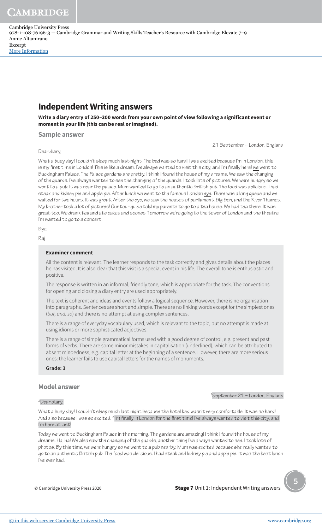[More Information](www.cambridge.org/9781108761963)

# **Independent Writing answers**

**Write a diary entry of 250–300 words from your own point of view following a significant event or moment in your life (this can be real or imagined).**

#### **Sample answer**

Dear diary,

21 September – London, England

What a busy day! I couldn't sleep much last night. The bed was so hard! I was excited because I'm in London. this is my first time in London! This is like a dream. I've always wanted to visit this city, and I'm finally here! we went to Buckingham Palace. The Palace gardens are pretty. I think I found the house of my dreams. We saw the changing of the guards. I've always wanted to see the changing of the guards. I took lots of pictures. We were hungry so we went to a pub. It was near the palace. Mum wanted to go to an authentic British pub. The food was delicious. I had steak and kidney pie and apple pie. After lunch we went to the famous London eye. There was a long queue and we waited for two hours. It was great. After the eye, we saw the houses of parliament, Big Ben, and the River Thames. My brother took a lot of pictures! Our tour guide told my parents to go to a tea house. We had tea there. It was great too. We drank tea and ate cakes and scones! Tomorrow we're going to the tower of London and the theatre. I'm wanted to go to a concert.

Bye,

Raj

#### **Examiner comment**

All the content is relevant. The learner responds to the task correctly and gives details about the places he has visited. It is also clear that this visit is a special event in his life. The overall tone is enthusiastic and positive.

The response is written in an informal, friendly tone, which is appropriate for the task. The conventions for opening and closing a diary entry are used appropriately.

The text is coherent and ideas and events follow a logical sequence. However, there is no organisation into paragraphs. Sentences are short and simple. There are no linking words except for the simplest ones (but, and, so) and there is no attempt at using complex sentences.

There is a range of everyday vocabulary used, which is relevant to the topic, but no attempt is made at using idioms or more sophisticated adjectives.

There is a range of simple grammatical forms used with a good degree of control, e.g. present and past forms of verbs. There are some minor mistakes in capitalisation (underlined), which can be attributed to absent mindedness, e.g. capital letter at the beginning of a sentence. However, there are more serious ones: the learner fails to use capital letters for the names of monuments.

**Grade: 3**

## **Model answer**

#### <sup>2</sup>Dear diary,

<sup>1</sup>September 21 – London, England

What a busy day! I couldn't sleep much last night because the hotel bed wasn't very comfortable. It was so hard! And also because I was so excited. <sup>3</sup>I'm finally in London for the first time! I've always wanted to visit this city, and I'm here at last!

Today we went to Buckingham Palace in the morning. The gardens are amazing! I think I found the house of my dreams. Ha, ha! We also saw the changing of the guards, another thing I've always wanted to see. I took lots of photos. By this time, we were hungry so we went to a pub nearby. Mum was excited because she really wanted to go to an authentic British pub. The food was delicious. I had steak and kidney pie and apple pie. It was the best lunch I've ever had.

© Cambridge University Press 2020

**5**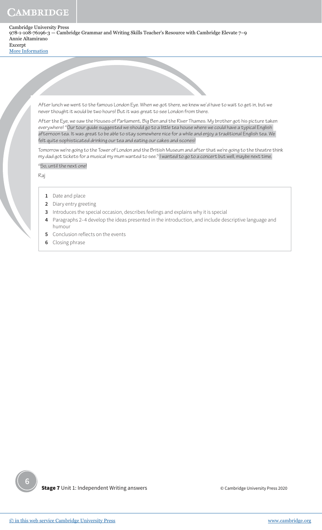# CAMBRIDGE

Cambridge University Press 978-1-108-76196-3 — Cambridge Grammar and Writing Skills Teacher's Resource with Cambridge Elevate 7–9 Annie Altamirano Excerpt

[More Information](www.cambridge.org/9781108761963)



After lunch we went to the famous London Eye. When we got there, we knew we'd have to wait to get in, but we never thought it would be two hours! But it was great to see London from there.

After the Eye, we saw the Houses of Parliament, Big Ben and the River Thames. My brother got his picture taken everywhere! <sup>4</sup>Our tour guide suggested we should go to a little tea house where we could have a typical English afternoon tea. It was great to be able to stay somewhere nice for a while and enjoy a traditional English tea. We felt quite sophisticated drinking our tea and eating our cakes and scones!

Tomorrow we're going to the Tower of London and the British Museum and after that we're going to the theatre think my dad got tickets for a musical my mum wanted to see.<sup>5</sup> I wanted to go to a concert but well, maybe next time.

<sup>6</sup>So, until the next one!

Raj

- **1** Date and place
- **2** Diary entry greeting
- **3** Introduces the special occasion, describes feelings and explains why it is special
- **4** Paragraphs 2–4 develop the ideas presented in the introduction, and include descriptive language and humour
- **5** Conclusion reflects on the events
- **6** Closing phrase

**Stage 7** Unit 1: Independent Writing answers

© Cambridge University Press 2020

**6**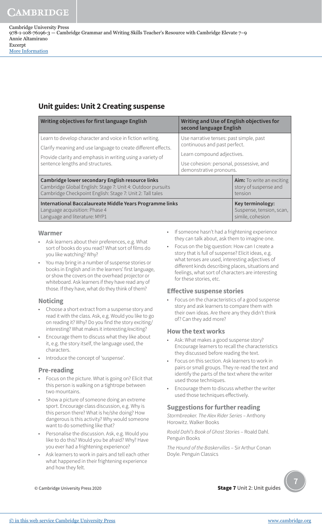# **Unit guides: Unit 2 Creating suspense**

| Writing objectives for first language English                                                                                                                                                                               | Writing and Use of English objectives for<br>second language English                                                                                                        |                                                                      |  |  |
|-----------------------------------------------------------------------------------------------------------------------------------------------------------------------------------------------------------------------------|-----------------------------------------------------------------------------------------------------------------------------------------------------------------------------|----------------------------------------------------------------------|--|--|
| Learn to develop character and voice in fiction writing.<br>Clarify meaning and use language to create different effects.<br>Provide clarity and emphasis in writing using a variety of<br>sentence lengths and structures. | Use narrative tenses: past simple, past<br>continuous and past perfect.<br>Learn compound adjectives.<br>Use cohesion: personal, possessive, and<br>demonstrative pronouns. |                                                                      |  |  |
| Cambridge lower secondary English resource links<br>Cambridge Global English: Stage 7: Unit 4: Outdoor pursuits<br>Cambridge Checkpoint English: Stage 7: Unit 2: Tall tales                                                |                                                                                                                                                                             | <b>Aim:</b> To write an exciting<br>story of suspense and<br>tension |  |  |
| International Baccalaureate Middle Years Programme links<br>Language acquisition: Phase 4<br>Language and literature: MYP1                                                                                                  |                                                                                                                                                                             | Key terminology:<br>Suspense, tension, scan,<br>simile, cohesion     |  |  |

#### **Warmer**

- Ask learners about their preferences, e.g. What sort of books do you read? What sort of films do you like watching? Why?
- You may bring in a number of suspense stories or books in English and in the learners' first language, or show the covers on the overhead projector or whiteboard. Ask learners if they have read any of those. If they have, what do they think of them?

## **Noticing**

- Choose a short extract from a suspense story and read it with the class. Ask, e.g. Would you like to go on reading it? Why? Do you find the story exciting/ interesting? What makes it interesting/exciting?
- Encourage them to discuss what they like about it, e.g. the story itself, the language used, the characters.
- Introduce the concept of 'suspense'.

## **Pre-reading**

- Focus on the picture. What is going on? Elicit that this person is walking on a tightrope between two mountains.
- Show a picture of someone doing an extreme sport. Encourage class discussion, e.g. Why is this person there? What is he/she doing? How dangerous is this activity? Why would someone want to do something like that?
- Personalise the discussion. Ask, e.g. Would you like to do this? Would you be afraid? Why? Have you ever had a frightening experience?
- Ask learners to work in pairs and tell each other what happened in their frightening experience and how they felt.
- If someone hasn't had a frightening experience they can talk about, ask them to imagine one.
- Focus on the big question: How can I create a story that is full of suspense? Elicit ideas, e.g. what tenses are used, interesting adjectives of different kinds describing places, situations and feelings, what sort of characters are interesting for these stories, etc.

## **Effective suspense stories**

• Focus on the characteristics of a good suspense story and ask learners to compare them with their own ideas. Are there any they didn't think of? Can they add more?

## **How the text works**

- Ask: What makes a good suspense story? Encourage learners to recall the characteristics they discussed before reading the text.
- Focus on this section. Ask learners to work in pairs or small groups. They re-read the text and identify the parts of the text where the writer used those techniques.
- Encourage them to discuss whether the writer used those techniques effectively.

## **Suggestions for further reading**

Stormbreaker. The Alex Rider Series – Anthony Horowitz. Walker Books

Roald Dahl's Book of Ghost Stories – Roald Dahl. Penguin Books

The Hound of the Baskervilles – Sir Arthur Conan Doyle. Penguin Classics



**Stage 7** Unit 2: Unit guides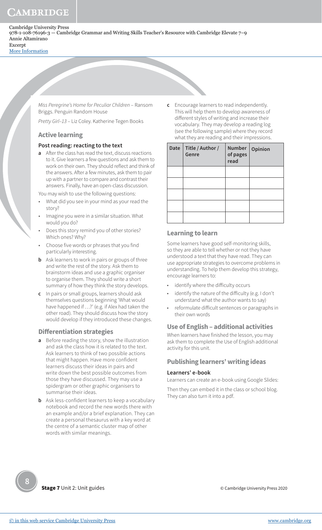[More Information](www.cambridge.org/9781108761963)

Miss Peregrine's Home for Peculiar Children – Ransom Briggs. Penguin Random House

Pretty Girl–13 – Liz Coley. Katherine Tegen Books

## **Active learning**

## **Post reading: reacting to the text**

**a** After the class has read the text, discuss reactions to it. Give learners a few questions and ask them to work on their own. They should reflect and think of the answers. After a few minutes, ask them to pair up with a partner to compare and contrast their answers. Finally, have an open-class discussion.

You may wish to use the following questions:

- What did you see in your mind as your read the story?
- Imagine you were in a similar situation. What would you do?
- Does this story remind you of other stories? Which ones? Why?
- Choose five words or phrases that you find particularly interesting.
- **b** Ask learners to work in pairs or groups of three and write the rest of the story. Ask them to brainstorm ideas and use a graphic organiser to organise them. They should write a short summary of how they think the story develops.
- **c** In pairs or small groups, learners should ask themselves questions beginning 'What would have happened if ...?' (e.g. if Alex had taken the other road). They should discuss how the story would develop if they introduced these changes.

## **Differentiation strategies**

- **a** Before reading the story, show the illustration and ask the class how it is related to the text. Ask learners to think of two possible actions that might happen. Have more confident learners discuss their ideas in pairs and write down the best possible outcomes from those they have discussed. They may use a spidergram or other graphic organisers to summarise their ideas.
- **b** Ask less-confident learners to keep a vocabulary notebook and record the new words there with an example and/or a brief explanation. They can create a personal thesaurus with a key word at the centre of a semantic cluster map of other words with similar meanings.

Encourage learners to read independently. This will help them to develop awareness of different styles of writing and increase their vocabulary. They may develop a reading log (see the following sample) where they record what they are reading and their impressions.

| Date | Title / Author /<br>Genre | Number  <br>of pages<br>read | Opinion |
|------|---------------------------|------------------------------|---------|
|      |                           |                              |         |
|      |                           |                              |         |
|      |                           |                              |         |
|      |                           |                              |         |
|      |                           |                              |         |

## **Learning to learn**

Some learners have good self-monitoring skills, so they are able to tell whether or not they have understood a text that they have read. They can use appropriate strategies to overcome problems in understanding. To help them develop this strategy, encourage learners to:

- identify where the difficulty occurs
- identify the nature of the difficulty (e.g. I don't understand what the author wants to say)
- reformulate difficult sentences or paragraphs in their own words

## **Use of English – additional activities**

When learners have finished the lesson, you may ask them to complete the Use of English additional activity for this unit.

## **Publishing learners' writing ideas**

#### **Learners' e-book**

Learners can create an e-book using Google Slides:

Then they can embed it in the class or school blog. They can also turn it into a pdf.

**Stage 7** Unit 2: Unit guides

© Cambridge University Press 2020

**8**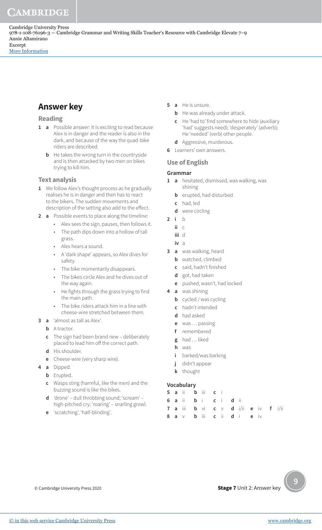# **Answer key**

## **Reading**

- **1 a** Possible answer: It is exciting to read because Alex is in danger and the reader is also in the dark, and because of the way the quad-bike riders are described.
	- **b** He takes the wrong turn in the countryside and is then attacked by two men on bikes trying to kill him.

## **Text analysis**

- **1** We follow Alex's thought process as he gradually realises he is in danger and then has to react to the bikers. The sudden movements and description of the setting also add to the effect.
- **2 a** Possible events to place along the timeline:
	- Alex sees the sign, pauses, then follows it.
	- The path dips down into a hollow of tall grass.
	- Alex hears a sound.
	- A 'dark shape' appears, so Alex dives for safety.
	- The bike momentarily disappears.
	- The bikes circle Alex and he dives out of the way again.
	- He fights through the grass trying to find the main path.
	- The bike riders attack him in a line with cheese-wire stretched between them.
- **3 a** 'almost as tall as Alex'.
	- **b** A tractor.
	- **c** The sign had been brand new deliberately placed to lead him off the correct path.
	- **d** His shoulder.
	- **e** Cheese-wire (very sharp wire).
- **4 a** Dipped.
	- **b** Erupted.
	- **c** Wasps sting (harmful, like the men) and the buzzing sound is like the bikes.
	- **d** 'drone' dull throbbing sound; 'scream' high-pitched cry; 'roaring' – snarling growl.
	- **e** 'scratching', 'half-blinding'.
- **5 a** He is unsure.
	- **b** He was already under attack.
	- **c** He 'had to' find somewhere to hide (auxiliary 'had' suggests need); 'desperately' (adverb); He 'needed' (verb) other people.
- **d** Aggressive, murderous.
- **6** Learners' own answers.

# **Use of English**

## **Grammar**

- **1 a** hesitated, dismissed, was walking, was shining
	- **b** erupted, had disturbed
	- **c** had, led
	- **d** were circling
- **2 i** b
	- **ii** c
	- **iii** d
	- **iv** a
- **3 a** was walking, heard
	- **b** watched, climbed
	- **c** said, hadn't finished
	- **d** got, had taken
	- **e** pushed, wasn't, had locked
- **4 a** was shining
	- **b** cycled / was cycling
	- **c** hadn't intended
	- **d** had asked
	- **e** was … passing
	- **f** remembered
	- **g** had … liked
	- **h** was
	- **i** barked/was barking
	- **j** didn't appear
	- **k** thought

## **Vocabulary**

|  | 5 a ii b iii c |  |  |                                     |  |  |
|--|----------------|--|--|-------------------------------------|--|--|
|  | 6 aii bi ci di |  |  |                                     |  |  |
|  |                |  |  | 7 a iii b vi c v d i/ii e iv f i/ii |  |  |
|  |                |  |  | 8 a v b iii c ii d i e iv           |  |  |

© Cambridge University Press 2020